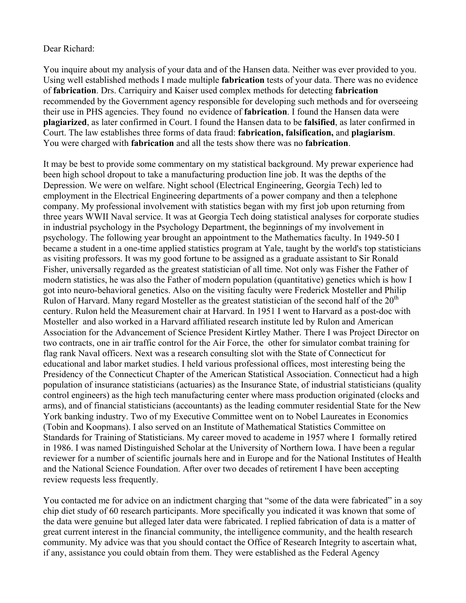## Dear Richard:

You inquire about my analysis of your data and of the Hansen data. Neither was ever provided to you. Using well established methods I made multiple **fabrication** tests of your data. There was no evidence of **fabrication**. Drs. Carriquiry and Kaiser used complex methods for detecting **fabrication** recommended by the Government agency responsible for developing such methods and for overseeing their use in PHS agencies. They found no evidence of **fabrication**. I found the Hansen data were **plagiarized**, as later confirmed in Court. I found the Hansen data to be **falsified**, as later confirmed in Court. The law establishes three forms of data fraud: **fabrication, falsification,** and **plagiarism**. You were charged with **fabrication** and all the tests show there was no **fabrication**.

It may be best to provide some commentary on my statistical background. My prewar experience had been high school dropout to take a manufacturing production line job. It was the depths of the Depression. We were on welfare. Night school (Electrical Engineering, Georgia Tech) led to employment in the Electrical Engineering departments of a power company and then a telephone company. My professional involvement with statistics began with my first job upon returning from three years WWII Naval service. It was at Georgia Tech doing statistical analyses for corporate studies in industrial psychology in the Psychology Department, the beginnings of my involvement in psychology. The following year brought an appointment to the Mathematics faculty. In 1949-50 I became a student in a one-time applied statistics program at Yale, taught by the world's top statisticians as visiting professors. It was my good fortune to be assigned as a graduate assistant to Sir Ronald Fisher, universally regarded as the greatest statistician of all time. Not only was Fisher the Father of modern statistics, he was also the Father of modern population (quantitative) genetics which is how I got into neuro-behavioral genetics. Also on the visiting faculty were Frederick Mosteller and Philip Rulon of Harvard. Many regard Mosteller as the greatest statistician of the second half of the  $20<sup>th</sup>$ century. Rulon held the Measurement chair at Harvard. In 1951 I went to Harvard as a post-doc with Mosteller and also worked in a Harvard affiliated research institute led by Rulon and American Association for the Advancement of Science President Kirtley Mather. There I was Project Director on two contracts, one in air traffic control for the Air Force, the other for simulator combat training for flag rank Naval officers. Next was a research consulting slot with the State of Connecticut for educational and labor market studies. I held various professional offices, most interesting being the Presidency of the Connecticut Chapter of the American Statistical Association. Connecticut had a high population of insurance statisticians (actuaries) as the Insurance State, of industrial statisticians (quality control engineers) as the high tech manufacturing center where mass production originated (clocks and arms), and of financial statisticians (accountants) as the leading commuter residential State for the New York banking industry. Two of my Executive Committee went on to Nobel Laureates in Economics (Tobin and Koopmans). I also served on an Institute of Mathematical Statistics Committee on Standards for Training of Statisticians. My career moved to academe in 1957 where I formally retired in 1986. I was named Distinguished Scholar at the University of Northern Iowa. I have been a regular reviewer for a number of scientific journals here and in Europe and for the National Institutes of Health and the National Science Foundation. After over two decades of retirement I have been accepting review requests less frequently.

You contacted me for advice on an indictment charging that "some of the data were fabricated" in a soy chip diet study of 60 research participants. More specifically you indicated it was known that some of the data were genuine but alleged later data were fabricated. I replied fabrication of data is a matter of great current interest in the financial community, the intelligence community, and the health research community. My advice was that you should contact the Office of Research Integrity to ascertain what, if any, assistance you could obtain from them. They were established as the Federal Agency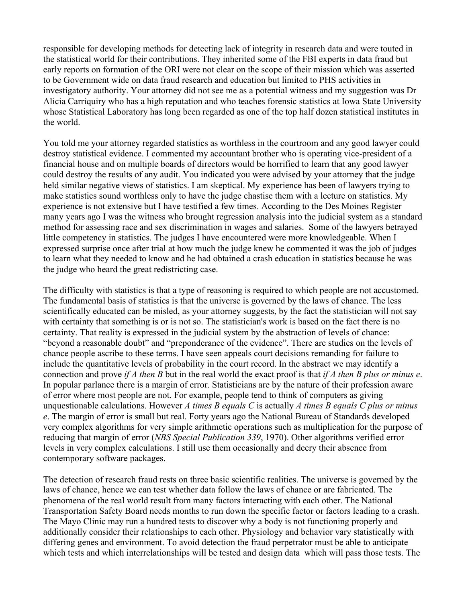responsible for developing methods for detecting lack of integrity in research data and were touted in the statistical world for their contributions. They inherited some of the FBI experts in data fraud but early reports on formation of the ORI were not clear on the scope of their mission which was asserted to be Government wide on data fraud research and education but limited to PHS activities in investigatory authority. Your attorney did not see me as a potential witness and my suggestion was Dr Alicia Carriquiry who has a high reputation and who teaches forensic statistics at Iowa State University whose Statistical Laboratory has long been regarded as one of the top half dozen statistical institutes in the world.

You told me your attorney regarded statistics as worthless in the courtroom and any good lawyer could destroy statistical evidence. I commented my accountant brother who is operating vice-president of a financial house and on multiple boards of directors would be horrified to learn that any good lawyer could destroy the results of any audit. You indicated you were advised by your attorney that the judge held similar negative views of statistics. I am skeptical. My experience has been of lawyers trying to make statistics sound worthless only to have the judge chastise them with a lecture on statistics. My experience is not extensive but I have testified a few times. According to the Des Moines Register many years ago I was the witness who brought regression analysis into the judicial system as a standard method for assessing race and sex discrimination in wages and salaries. Some of the lawyers betrayed little competency in statistics. The judges I have encountered were more knowledgeable. When I expressed surprise once after trial at how much the judge knew he commented it was the job of judges to learn what they needed to know and he had obtained a crash education in statistics because he was the judge who heard the great redistricting case.

The difficulty with statistics is that a type of reasoning is required to which people are not accustomed. The fundamental basis of statistics is that the universe is governed by the laws of chance. The less scientifically educated can be misled, as your attorney suggests, by the fact the statistician will not say with certainty that something is or is not so. The statistician's work is based on the fact there is no certainty. That reality is expressed in the judicial system by the abstraction of levels of chance: "beyond a reasonable doubt" and "preponderance of the evidence". There are studies on the levels of chance people ascribe to these terms. I have seen appeals court decisions remanding for failure to include the quantitative levels of probability in the court record. In the abstract we may identify a connection and prove *if A then B* but in the real world the exact proof is that *if A then B plus or minus e*. In popular parlance there is a margin of error. Statisticians are by the nature of their profession aware of error where most people are not. For example, people tend to think of computers as giving unquestionable calculations. However *A times B equals C* is actually *A times B equals C plus or minus e*. The margin of error is small but real. Forty years ago the National Bureau of Standards developed very complex algorithms for very simple arithmetic operations such as multiplication for the purpose of reducing that margin of error (*NBS Special Publication 339*, 1970). Other algorithms verified error levels in very complex calculations. I still use them occasionally and decry their absence from contemporary software packages.

The detection of research fraud rests on three basic scientific realities. The universe is governed by the laws of chance, hence we can test whether data follow the laws of chance or are fabricated. The phenomena of the real world result from many factors interacting with each other. The National Transportation Safety Board needs months to run down the specific factor or factors leading to a crash. The Mayo Clinic may run a hundred tests to discover why a body is not functioning properly and additionally consider their relationships to each other. Physiology and behavior vary statistically with differing genes and environment. To avoid detection the fraud perpetrator must be able to anticipate which tests and which interrelationships will be tested and design data which will pass those tests. The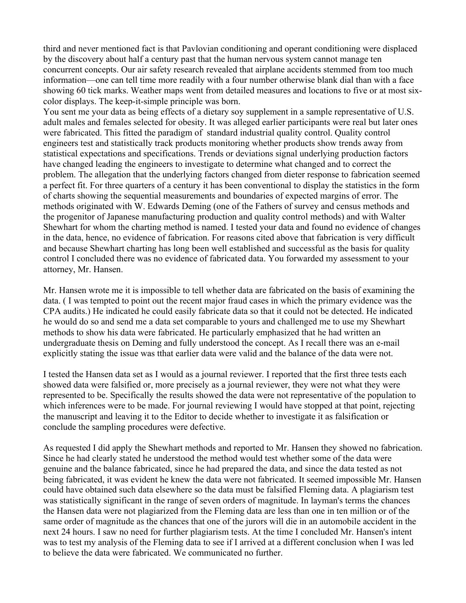third and never mentioned fact is that Pavlovian conditioning and operant conditioning were displaced by the discovery about half a century past that the human nervous system cannot manage ten concurrent concepts. Our air safety research revealed that airplane accidents stemmed from too much information—one can tell time more readily with a four number otherwise blank dial than with a face showing 60 tick marks. Weather maps went from detailed measures and locations to five or at most sixcolor displays. The keep-it-simple principle was born.

You sent me your data as being effects of a dietary soy supplement in a sample representative of U.S. adult males and females selected for obesity. It was alleged earlier participants were real but later ones were fabricated. This fitted the paradigm of standard industrial quality control. Quality control engineers test and statistically track products monitoring whether products show trends away from statistical expectations and specifications. Trends or deviations signal underlying production factors have changed leading the engineers to investigate to determine what changed and to correct the problem. The allegation that the underlying factors changed from dieter response to fabrication seemed a perfect fit. For three quarters of a century it has been conventional to display the statistics in the form of charts showing the sequential measurements and boundaries of expected margins of error. The methods originated with W. Edwards Deming (one of the Fathers of survey and census methods and the progenitor of Japanese manufacturing production and quality control methods) and with Walter Shewhart for whom the charting method is named. I tested your data and found no evidence of changes in the data, hence, no evidence of fabrication. For reasons cited above that fabrication is very difficult and because Shewhart charting has long been well established and successful as the basis for quality control I concluded there was no evidence of fabricated data. You forwarded my assessment to your attorney, Mr. Hansen.

Mr. Hansen wrote me it is impossible to tell whether data are fabricated on the basis of examining the data. ( I was tempted to point out the recent major fraud cases in which the primary evidence was the CPA audits.) He indicated he could easily fabricate data so that it could not be detected. He indicated he would do so and send me a data set comparable to yours and challenged me to use my Shewhart methods to show his data were fabricated. He particularly emphasized that he had written an undergraduate thesis on Deming and fully understood the concept. As I recall there was an e-mail explicitly stating the issue was tthat earlier data were valid and the balance of the data were not.

I tested the Hansen data set as I would as a journal reviewer. I reported that the first three tests each showed data were falsified or, more precisely as a journal reviewer, they were not what they were represented to be. Specifically the results showed the data were not representative of the population to which inferences were to be made. For journal reviewing I would have stopped at that point, rejecting the manuscript and leaving it to the Editor to decide whether to investigate it as falsification or conclude the sampling procedures were defective.

As requested I did apply the Shewhart methods and reported to Mr. Hansen they showed no fabrication. Since he had clearly stated he understood the method would test whether some of the data were genuine and the balance fabricated, since he had prepared the data, and since the data tested as not being fabricated, it was evident he knew the data were not fabricated. It seemed impossible Mr. Hansen could have obtained such data elsewhere so the data must be falsified Fleming data. A plagiarism test was statistically significant in the range of seven orders of magnitude. In layman's terms the chances the Hansen data were not plagiarized from the Fleming data are less than one in ten million or of the same order of magnitude as the chances that one of the jurors will die in an automobile accident in the next 24 hours. I saw no need for further plagiarism tests. At the time I concluded Mr. Hansen's intent was to test my analysis of the Fleming data to see if I arrived at a different conclusion when I was led to believe the data were fabricated. We communicated no further.